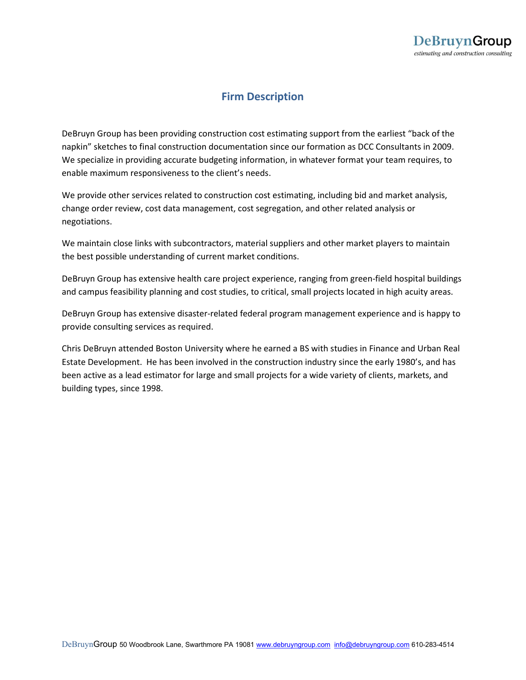# Firm Description

DeBruyn Group has been providing construction cost estimating support from the earliest "back of the napkin" sketches to final construction documentation since our formation as DCC Consultants in 2009. We specialize in providing accurate budgeting information, in whatever format your team requires, to enable maximum responsiveness to the client's needs.

We provide other services related to construction cost estimating, including bid and market analysis, change order review, cost data management, cost segregation, and other related analysis or negotiations.

We maintain close links with subcontractors, material suppliers and other market players to maintain the best possible understanding of current market conditions.

DeBruyn Group has extensive health care project experience, ranging from green-field hospital buildings and campus feasibility planning and cost studies, to critical, small projects located in high acuity areas.

DeBruyn Group has extensive disaster-related federal program management experience and is happy to provide consulting services as required.

Chris DeBruyn attended Boston University where he earned a BS with studies in Finance and Urban Real Estate Development. He has been involved in the construction industry since the early 1980's, and has been active as a lead estimator for large and small projects for a wide variety of clients, markets, and building types, since 1998.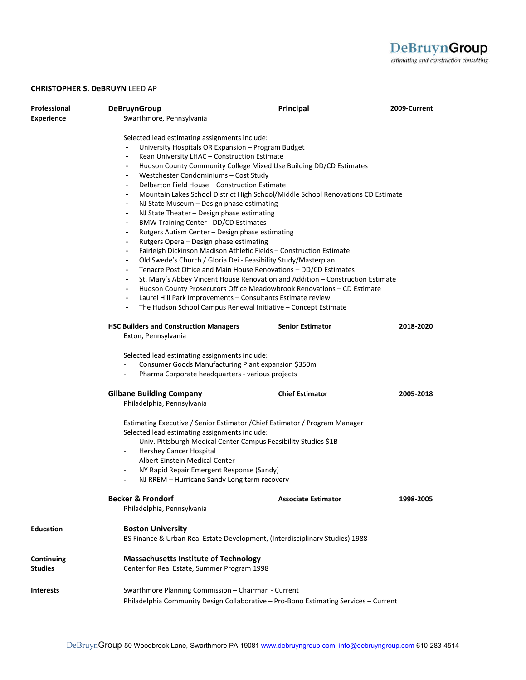#### **CHRISTOPHER S. DeBRUYN** LEED AP

| Professional<br>Experience | <b>DeBruynGroup</b><br>Swarthmore, Pennsylvania                                                                                                                                                                                                                                                                                                                                                                                                                                                                                                                                                                                                                                                                                                                                                                                                                                                                                                                                                                                                                                                                                                                                                                                                                                                                                                                                                                                                                      | Principal                  | 2009-Current |
|----------------------------|----------------------------------------------------------------------------------------------------------------------------------------------------------------------------------------------------------------------------------------------------------------------------------------------------------------------------------------------------------------------------------------------------------------------------------------------------------------------------------------------------------------------------------------------------------------------------------------------------------------------------------------------------------------------------------------------------------------------------------------------------------------------------------------------------------------------------------------------------------------------------------------------------------------------------------------------------------------------------------------------------------------------------------------------------------------------------------------------------------------------------------------------------------------------------------------------------------------------------------------------------------------------------------------------------------------------------------------------------------------------------------------------------------------------------------------------------------------------|----------------------------|--------------|
|                            | Selected lead estimating assignments include:<br>University Hospitals OR Expansion - Program Budget<br>Kean University LHAC - Construction Estimate<br>$\blacksquare$<br>Hudson County Community College Mixed Use Building DD/CD Estimates<br>$\blacksquare$<br>Westchester Condominiums - Cost Study<br>$\overline{\phantom{a}}$<br>Delbarton Field House – Construction Estimate<br>$\blacksquare$<br>Mountain Lakes School District High School/Middle School Renovations CD Estimate<br>$\blacksquare$<br>NJ State Museum - Design phase estimating<br>$\blacksquare$<br>NJ State Theater - Design phase estimating<br>$\blacksquare$<br><b>BMW Training Center - DD/CD Estimates</b><br>$\blacksquare$<br>Rutgers Autism Center - Design phase estimating<br>$\blacksquare$<br>Rutgers Opera - Design phase estimating<br>$\blacksquare$<br>Fairleigh Dickinson Madison Athletic Fields - Construction Estimate<br>$\blacksquare$<br>Old Swede's Church / Gloria Dei - Feasibility Study/Masterplan<br>Tenacre Post Office and Main House Renovations - DD/CD Estimates<br>$\blacksquare$<br>St. Mary's Abbey Vincent House Renovation and Addition - Construction Estimate<br>$\blacksquare$<br>Hudson County Prosecutors Office Meadowbrook Renovations - CD Estimate<br>$\blacksquare$<br>Laurel Hill Park Improvements - Consultants Estimate review<br>$\blacksquare$<br>The Hudson School Campus Renewal Initiative - Concept Estimate<br>$\blacksquare$ |                            |              |
|                            | <b>HSC Builders and Construction Managers</b><br>Exton, Pennsylvania                                                                                                                                                                                                                                                                                                                                                                                                                                                                                                                                                                                                                                                                                                                                                                                                                                                                                                                                                                                                                                                                                                                                                                                                                                                                                                                                                                                                 | <b>Senior Estimator</b>    | 2018-2020    |
|                            | Selected lead estimating assignments include:<br>Consumer Goods Manufacturing Plant expansion \$350m<br>Pharma Corporate headquarters - various projects<br><b>Gilbane Building Company</b><br><b>Chief Estimator</b><br>2005-2018                                                                                                                                                                                                                                                                                                                                                                                                                                                                                                                                                                                                                                                                                                                                                                                                                                                                                                                                                                                                                                                                                                                                                                                                                                   |                            |              |
|                            | Philadelphia, Pennsylvania<br>Estimating Executive / Senior Estimator / Chief Estimator / Program Manager<br>Selected lead estimating assignments include:<br>Univ. Pittsburgh Medical Center Campus Feasibility Studies \$1B<br><b>Hershey Cancer Hospital</b><br>Albert Einstein Medical Center<br>NY Rapid Repair Emergent Response (Sandy)<br>NJ RREM - Hurricane Sandy Long term recovery                                                                                                                                                                                                                                                                                                                                                                                                                                                                                                                                                                                                                                                                                                                                                                                                                                                                                                                                                                                                                                                                       |                            |              |
|                            | <b>Becker &amp; Frondorf</b><br>Philadelphia, Pennsylvania                                                                                                                                                                                                                                                                                                                                                                                                                                                                                                                                                                                                                                                                                                                                                                                                                                                                                                                                                                                                                                                                                                                                                                                                                                                                                                                                                                                                           | <b>Associate Estimator</b> | 1998-2005    |
| <b>Education</b>           | <b>Boston University</b><br>BS Finance & Urban Real Estate Development, (Interdisciplinary Studies) 1988                                                                                                                                                                                                                                                                                                                                                                                                                                                                                                                                                                                                                                                                                                                                                                                                                                                                                                                                                                                                                                                                                                                                                                                                                                                                                                                                                             |                            |              |
| Continuing<br>Studies      | <b>Massachusetts Institute of Technology</b><br>Center for Real Estate, Summer Program 1998                                                                                                                                                                                                                                                                                                                                                                                                                                                                                                                                                                                                                                                                                                                                                                                                                                                                                                                                                                                                                                                                                                                                                                                                                                                                                                                                                                          |                            |              |
| Interests                  | Swarthmore Planning Commission - Chairman - Current<br>Philadelphia Community Design Collaborative - Pro-Bono Estimating Services - Current                                                                                                                                                                                                                                                                                                                                                                                                                                                                                                                                                                                                                                                                                                                                                                                                                                                                                                                                                                                                                                                                                                                                                                                                                                                                                                                          |                            |              |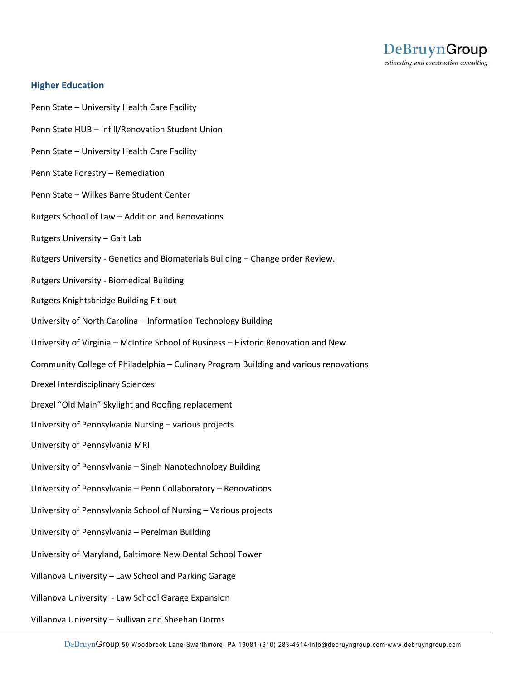

## **Higher Education**

Penn State – University Health Care Facility Penn State HUB – Infill/Renovation Student Union Penn State – University Health Care Facility Penn State Forestry – Remediation Penn State – Wilkes Barre Student Center Rutgers School of Law – Addition and Renovations Rutgers University – Gait Lab Rutgers University - Genetics and Biomaterials Building – Change order Review. Rutgers University - Biomedical Building Rutgers Knightsbridge Building Fit-out University of North Carolina – Information Technology Building University of Virginia – McIntire School of Business – Historic Renovation and New Community College of Philadelphia – Culinary Program Building and various renovations Drexel Interdisciplinary Sciences Drexel "Old Main" Skylight and Roofing replacement University of Pennsylvania Nursing – various projects University of Pennsylvania MRI University of Pennsylvania – Singh Nanotechnology Building University of Pennsylvania – Penn Collaboratory – Renovations University of Pennsylvania School of Nursing – Various projects University of Pennsylvania – Perelman Building University of Maryland, Baltimore New Dental School Tower Villanova University – Law School and Parking Garage Villanova University - Law School Garage Expansion Villanova University – Sullivan and Sheehan Dorms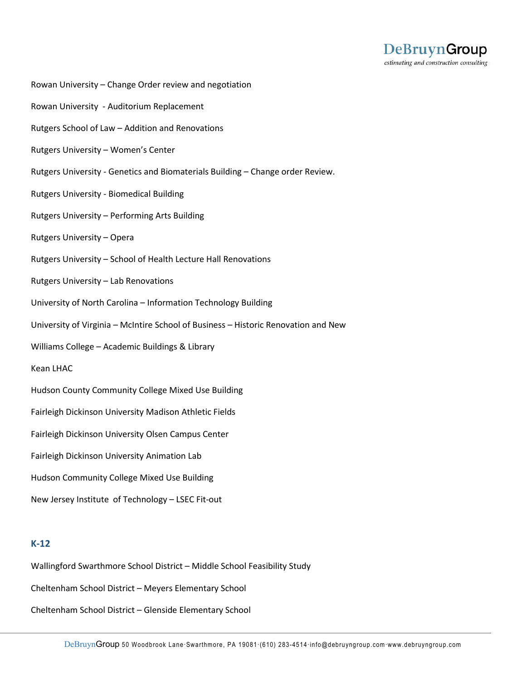

- Rowan University Change Order review and negotiation
- Rowan University Auditorium Replacement
- Rutgers School of Law Addition and Renovations
- Rutgers University Women's Center
- Rutgers University Genetics and Biomaterials Building Change order Review.
- Rutgers University Biomedical Building
- Rutgers University Performing Arts Building
- Rutgers University Opera
- Rutgers University School of Health Lecture Hall Renovations
- Rutgers University Lab Renovations
- University of North Carolina Information Technology Building
- University of Virginia McIntire School of Business Historic Renovation and New
- Williams College Academic Buildings & Library
- Kean LHAC
- Hudson County Community College Mixed Use Building
- Fairleigh Dickinson University Madison Athletic Fields
- Fairleigh Dickinson University Olsen Campus Center
- Fairleigh Dickinson University Animation Lab
- Hudson Community College Mixed Use Building
- New Jersey Institute of Technology LSEC Fit-out

## **K-12**

- Wallingford Swarthmore School District Middle School Feasibility Study
- Cheltenham School District Meyers Elementary School
- Cheltenham School District Glenside Elementary School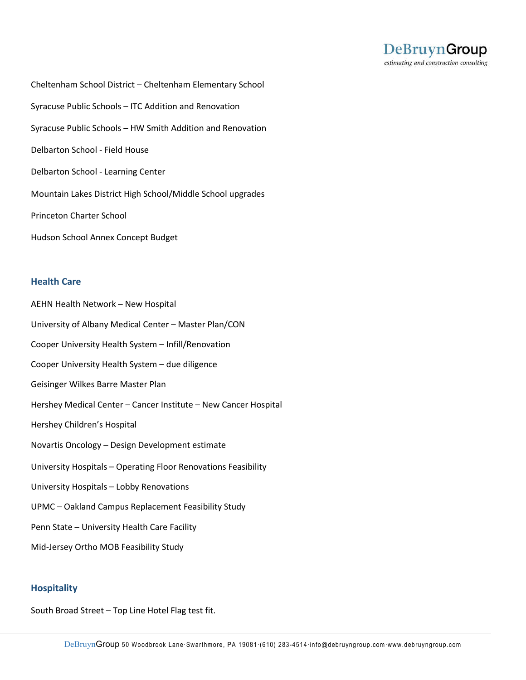

Cheltenham School District – Cheltenham Elementary School Syracuse Public Schools – ITC Addition and Renovation Syracuse Public Schools – HW Smith Addition and Renovation Delbarton School - Field House Delbarton School - Learning Center Mountain Lakes District High School/Middle School upgrades Princeton Charter School Hudson School Annex Concept Budget

## **Health Care**

AEHN Health Network – New Hospital University of Albany Medical Center – Master Plan/CON Cooper University Health System – Infill/Renovation Cooper University Health System – due diligence Geisinger Wilkes Barre Master Plan Hershey Medical Center – Cancer Institute – New Cancer Hospital Hershey Children's Hospital Novartis Oncology – Design Development estimate University Hospitals – Operating Floor Renovations Feasibility University Hospitals – Lobby Renovations UPMC – Oakland Campus Replacement Feasibility Study Penn State – University Health Care Facility Mid-Jersey Ortho MOB Feasibility Study

## **Hospitality**

South Broad Street – Top Line Hotel Flag test fit.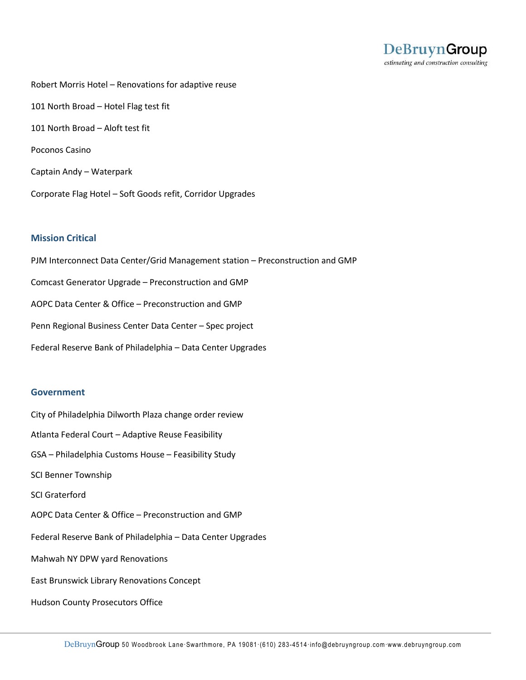

Robert Morris Hotel – Renovations for adaptive reuse 101 North Broad – Hotel Flag test fit 101 North Broad – Aloft test fit Poconos Casino Captain Andy – Waterpark Corporate Flag Hotel – Soft Goods refit, Corridor Upgrades

## **Mission Critical**

PJM Interconnect Data Center/Grid Management station – Preconstruction and GMP Comcast Generator Upgrade – Preconstruction and GMP AOPC Data Center & Office – Preconstruction and GMP Penn Regional Business Center Data Center – Spec project Federal Reserve Bank of Philadelphia – Data Center Upgrades

#### **Government**

City of Philadelphia Dilworth Plaza change order review Atlanta Federal Court – Adaptive Reuse Feasibility GSA – Philadelphia Customs House – Feasibility Study SCI Benner Township SCI Graterford AOPC Data Center & Office – Preconstruction and GMP Federal Reserve Bank of Philadelphia – Data Center Upgrades Mahwah NY DPW yard Renovations East Brunswick Library Renovations Concept Hudson County Prosecutors Office